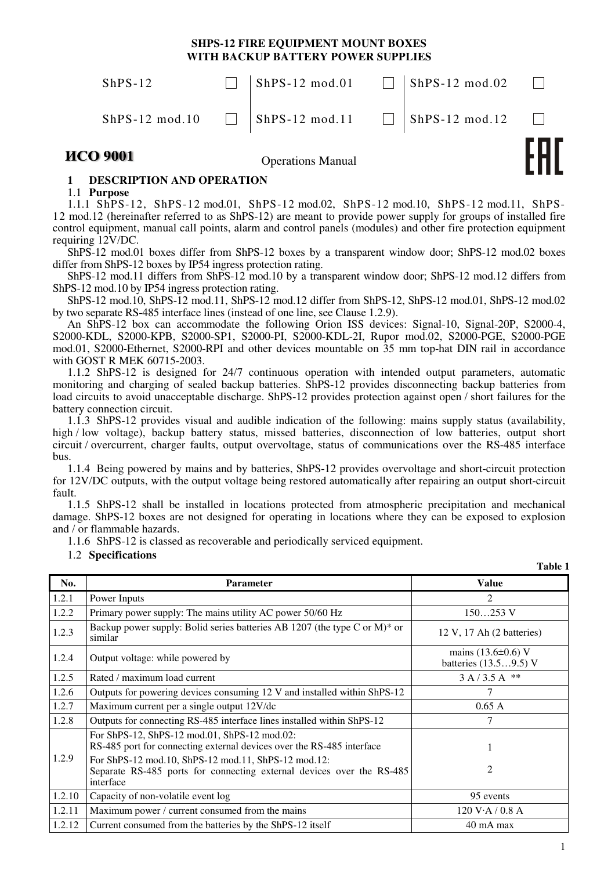# **SHPS-12 FIRE EQUIPMENT MOUNT BOXES WITH BACKUP BATTERY POWER SUPPLIES**

| <b><i>MCO 9001</i></b> | <b>Operations Manual</b>                                          |                          |  |
|------------------------|-------------------------------------------------------------------|--------------------------|--|
|                        | ShPS-12 mod.10 $\Box$ ShPS-12 mod.11 $\Box$ ShPS-12 mod.12 $\Box$ |                          |  |
| $ShPS-12$              | $ShPS-12 \text{ mod}.01$                                          | $ShPS-12 \text{ mod}.02$ |  |

# **1 DESCRIPTION AND OPERATION**

1.1 **Purpose** 

1.1.1 ShPS-12, ShPS-12 mod.01, ShPS-12 mod.02, ShPS-12 mod.10, ShPS-12 mod.11, ShPS-12 mod.12 (hereinafter referred to as ShPS-12) are meant to provide power supply for groups of installed fire control equipment, manual call points, alarm and control panels (modules) and other fire protection equipment requiring 12V/DC.

ShPS-12 mod.01 boxes differ from ShPS-12 boxes by a transparent window door; ShPS-12 mod.02 boxes differ from ShPS-12 boxes by IP54 ingress protection rating.

ShPS-12 mod.11 differs from ShPS-12 mod.10 by a transparent window door; ShPS-12 mod.12 differs from ShPS-12 mod.10 by IP54 ingress protection rating.

ShPS-12 mod.10, ShPS-12 mod.11, ShPS-12 mod.12 differ from ShPS-12, ShPS-12 mod.01, ShPS-12 mod.02 by two separate RS-485 interface lines (instead of one line, see Clause 1.2.9).

An ShPS-12 box can accommodate the following Orion ISS devices: Signal-10, Signal-20P, S2000-4, S2000-KDL, S2000-KPB, S2000-SP1, S2000-PI, S2000-KDL-2I, Rupor mod.02, S2000-PGE, S2000-PGE mod.01, S2000-Ethernet, S2000-RPI and other devices mountable on 35 mm top-hat DIN rail in accordance with GOST R MEK 60715-2003.

1.1.2 ShPS-12 is designed for 24/7 continuous operation with intended output parameters, automatic monitoring and charging of sealed backup batteries. ShPS-12 provides disconnecting backup batteries from load circuits to avoid unacceptable discharge. ShPS-12 provides protection against open / short failures for the battery connection circuit.

1.1.3 ShPS-12 provides visual and audible indication of the following: mains supply status (availability, high / low voltage), backup battery status, missed batteries, disconnection of low batteries, output short circuit / overcurrent, charger faults, output overvoltage, status of communications over the RS-485 interface bus.

1.1.4 Being powered by mains and by batteries, ShPS-12 provides overvoltage and short-circuit protection for 12V/DC outputs, with the output voltage being restored automatically after repairing an output short-circuit fault.

1.1.5 ShPS-12 shall be installed in locations protected from atmospheric precipitation and mechanical damage. ShPS-12 boxes are not designed for operating in locations where they can be exposed to explosion and / or flammable hazards.

1.1.6 ShPS-12 is classed as recoverable and periodically serviced equipment.

#### 1.2 **Specifications**

**Table 1** 

| No.    | <b>Parameter</b>                                                                                                                          | <b>Value</b>                                      |
|--------|-------------------------------------------------------------------------------------------------------------------------------------------|---------------------------------------------------|
| 1.2.1  | Power Inputs                                                                                                                              | $\mathcal{D}_{\mathcal{L}}$                       |
| 1.2.2  | Primary power supply: The mains utility AC power 50/60 Hz                                                                                 | $150253$ V                                        |
| 1.2.3  | Backup power supply: Bolid series batteries AB 1207 (the type C or M)* or<br>similar                                                      | 12 V, 17 Ah (2 batteries)                         |
| 1.2.4  | Output voltage: while powered by                                                                                                          | mains $(13.6 \pm 0.6)$ V<br>batteries (13.59.5) V |
| 1.2.5  | Rated / maximum load current                                                                                                              | $3 A / 3.5 A$ **                                  |
| 1.2.6  | Outputs for powering devices consuming 12 V and installed within ShPS-12                                                                  |                                                   |
| 1.2.7  | Maximum current per a single output 12V/dc                                                                                                | 0.65A                                             |
| 1.2.8  | Outputs for connecting RS-485 interface lines installed within ShPS-12                                                                    | 7                                                 |
|        | For ShPS-12, ShPS-12 mod.01, ShPS-12 mod.02:<br>RS-485 port for connecting external devices over the RS-485 interface                     |                                                   |
| 1.2.9  | For ShPS-12 mod.10, ShPS-12 mod.11, ShPS-12 mod.12:<br>Separate RS-485 ports for connecting external devices over the RS-485<br>interface | $\mathfrak{D}$                                    |
| 1.2.10 | Capacity of non-volatile event log                                                                                                        | 95 events                                         |
| 1.2.11 | Maximum power / current consumed from the mains                                                                                           | 120 V·A/0.8 A                                     |
| 1.2.12 | Current consumed from the batteries by the ShPS-12 itself<br>$40 \text{ mA max}$                                                          |                                                   |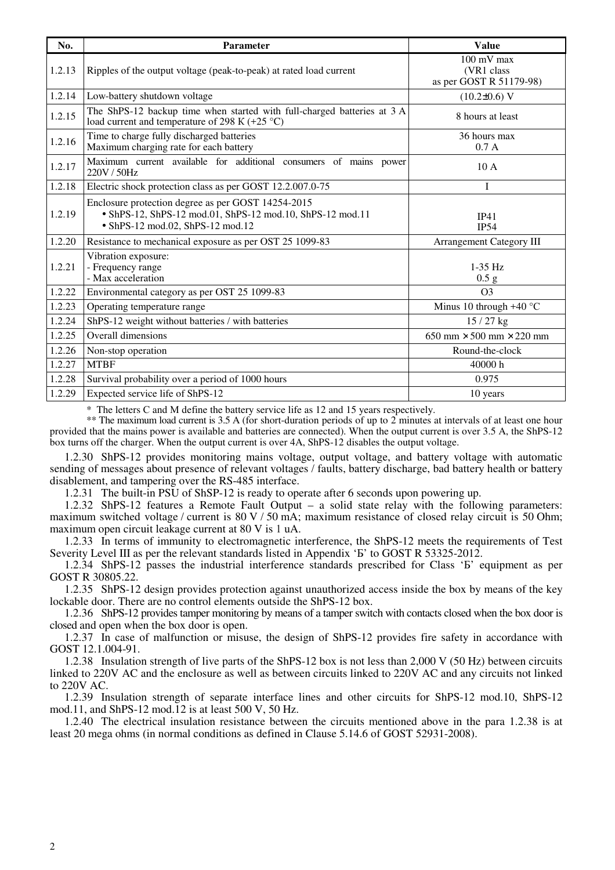| No.    | <b>Parameter</b>                                                                                                                                    | <b>Value</b>                                                   |
|--------|-----------------------------------------------------------------------------------------------------------------------------------------------------|----------------------------------------------------------------|
| 1.2.13 | Ripples of the output voltage (peak-to-peak) at rated load current                                                                                  | $100 \text{ mV}$ max<br>(VR1 class)<br>as per GOST R 51179-98) |
| 1.2.14 | Low-battery shutdown voltage                                                                                                                        | $(10.2\pm0.6)$ V                                               |
| 1.2.15 | The ShPS-12 backup time when started with full-charged batteries at 3 A<br>load current and temperature of 298 K $(+25 \degree C)$                  | 8 hours at least                                               |
| 1.2.16 | Time to charge fully discharged batteries<br>Maximum charging rate for each battery                                                                 | 36 hours max<br>0.7A                                           |
| 1.2.17 | Maximum current available for additional consumers of mains power<br>220V / 50Hz                                                                    | 10A                                                            |
| 1.2.18 | Electric shock protection class as per GOST 12.2.007.0-75                                                                                           | T                                                              |
| 1.2.19 | Enclosure protection degree as per GOST 14254-2015<br>• ShPS-12, ShPS-12 mod.01, ShPS-12 mod.10, ShPS-12 mod.11<br>• ShPS-12 mod.02, ShPS-12 mod.12 | IP41<br><b>IP54</b>                                            |
| 1.2.20 | Resistance to mechanical exposure as per OST 25 1099-83                                                                                             | <b>Arrangement Category III</b>                                |
| 1.2.21 | Vibration exposure:<br>- Frequency range<br>- Max acceleration                                                                                      | $1-35$ Hz<br>0.5 g                                             |
| 1.2.22 | Environmental category as per OST 25 1099-83                                                                                                        | O <sub>3</sub>                                                 |
| 1.2.23 | Operating temperature range                                                                                                                         | Minus 10 through $+40$ °C                                      |
| 1.2.24 | ShPS-12 weight without batteries / with batteries                                                                                                   | $15/27$ kg                                                     |
| 1.2.25 | Overall dimensions                                                                                                                                  | $650$ mm $\times$ 500 mm $\times$ 220 mm                       |
| 1.2.26 | Non-stop operation                                                                                                                                  | Round-the-clock                                                |
| 1.2.27 | <b>MTBF</b>                                                                                                                                         | 40000 h                                                        |
| 1.2.28 | Survival probability over a period of 1000 hours                                                                                                    | 0.975                                                          |
| 1.2.29 | Expected service life of ShPS-12                                                                                                                    | 10 years                                                       |

\* The letters С and М define the battery service life as 12 and 15 years respectively.

\*\* The maximum load current is 3.5 A (for short-duration periods of up to 2 minutes at intervals of at least one hour provided that the mains power is available and batteries are connected). When the output current is over 3.5 A, the ShPS-12 box turns off the charger. When the output current is over 4A, ShPS-12 disables the output voltage.

1.2.30 ShPS-12 provides monitoring mains voltage, output voltage, and battery voltage with automatic sending of messages about presence of relevant voltages / faults, battery discharge, bad battery health or battery disablement, and tampering over the RS-485 interface.

1.2.31 The built-in PSU of ShSP-12 is ready to operate after 6 seconds upon powering up.

1.2.32 ShPS-12 features a Remote Fault Output – a solid state relay with the following parameters: maximum switched voltage / current is 80 V / 50 mA; maximum resistance of closed relay circuit is 50 Ohm; maximum open circuit leakage current at 80 V is 1 uA.

1.2.33 In terms of immunity to electromagnetic interference, the ShPS-12 meets the requirements of Test Severity Level III as per the relevant standards listed in Appendix 'B' to GOST R 53325-2012.

1.2.34 ShPS-12 passes the industrial interference standards prescribed for Class 'Б' equipment as per GOST R 30805.22.

1.2.35 ShPS-12 design provides protection against unauthorized access inside the box by means of the key lockable door. There are no control elements outside the ShPS-12 box.

1.2.36 ShPS-12 provides tamper monitoring by means of a tamper switch with contacts closed when the box door is closed and open when the box door is open.

1.2.37 In case of malfunction or misuse, the design of ShPS-12 provides fire safety in accordance with GOST 12.1.004-91.

1.2.38 Insulation strength of live parts of the ShPS-12 box is not less than 2,000 V (50 Hz) between circuits linked to 220V AC and the enclosure as well as between circuits linked to 220V AC and any circuits not linked to 220V AC.

1.2.39 Insulation strength of separate interface lines and other circuits for ShPS-12 mod.10, ShPS-12 mod.11, and ShPS-12 mod.12 is at least 500 V, 50 Hz.

1.2.40 The electrical insulation resistance between the circuits mentioned above in the para 1.2.38 is at least 20 mega ohms (in normal conditions as defined in Clause 5.14.6 of GOST 52931-2008).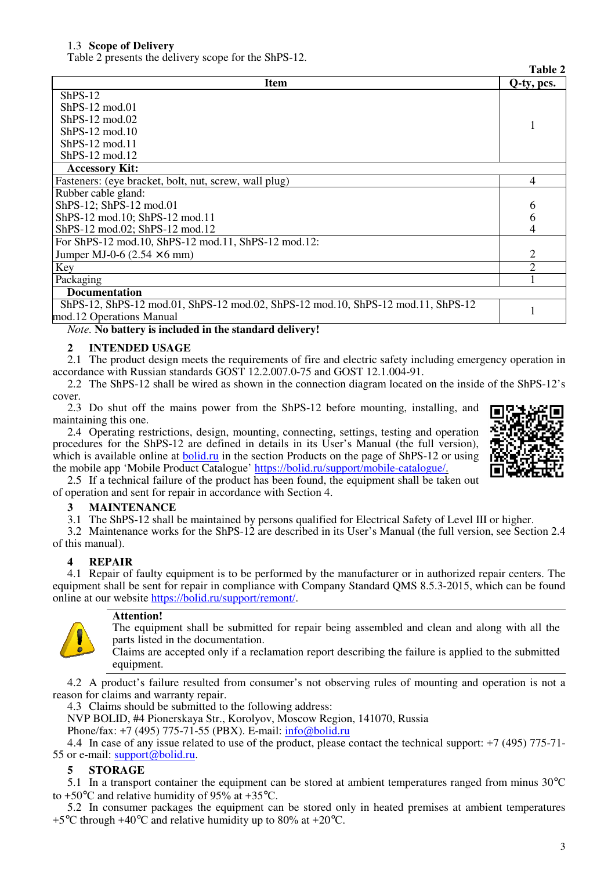### 1.3 **Scope of Delivery**

Table 2 presents the delivery scope for the ShPS-12.

|                                                                                  | Table 2        |  |
|----------------------------------------------------------------------------------|----------------|--|
| <b>Item</b>                                                                      | Q-ty, pcs.     |  |
| $ShPS-12$                                                                        |                |  |
| $ShPS-12 \text{ mod } 01$                                                        |                |  |
| $ShPS-12 \text{ mod } 02$                                                        |                |  |
| $ShPS-12 \text{ mod}.10$                                                         |                |  |
| $ShPS-12 \text{ mod } 11$                                                        |                |  |
| $ShPS-12 \text{ mod}.12$                                                         |                |  |
| <b>Accessory Kit:</b>                                                            |                |  |
| Fasteners: (eye bracket, bolt, nut, screw, wall plug)                            | 4              |  |
| Rubber cable gland:                                                              |                |  |
| ShPS-12; ShPS-12 mod.01                                                          |                |  |
| ShPS-12 mod.10; ShPS-12 mod.11                                                   |                |  |
| ShPS-12 mod.02; ShPS-12 mod.12                                                   | 4              |  |
| For ShPS-12 mod.10, ShPS-12 mod.11, ShPS-12 mod.12:                              |                |  |
| Jumper MJ-0-6 $(2.54 \times 6 \text{ mm})$                                       | 2              |  |
| Key                                                                              | $\overline{2}$ |  |
| Packaging                                                                        |                |  |
| <b>Documentation</b>                                                             |                |  |
| ShPS-12, ShPS-12 mod.01, ShPS-12 mod.02, ShPS-12 mod.10, ShPS-12 mod.11, ShPS-12 |                |  |
| mod.12 Operations Manual                                                         |                |  |

*Note.* **No battery is included in the standard delivery!** 

### **2 INTENDED USAGE**

2.1 The product design meets the requirements of fire and electric safety including emergency operation in accordance with Russian standards GOST 12.2.007.0-75 and GOST 12.1.004-91.

2.2 The ShPS-12 shall be wired as shown in the connection diagram located on the inside of the ShPS-12's cover.

2.3 Do shut off the mains power from the ShPS-12 before mounting, installing, and maintaining this one.

2.4 Operating restrictions, design, mounting, connecting, settings, testing and operation procedures for the ShPS-12 are defined in details in its User's Manual (the full version), which is available online at bolid.ru in the section Products on the page of ShPS-12 or using the mobile app 'Mobile Product Catalogue' https://bolid.ru/support/mobile-catalogue/.



**Table 2** 

2.5 If a technical failure of the product has been found, the equipment shall be taken out of operation and sent for repair in accordance with Section 4.

### **3 MAINTENANCE**

3.1 The ShPS-12 shall be maintained by persons qualified for Electrical Safety of Level III or higher.

3.2 Maintenance works for the ShPS-12 are described in its User's Manual (the full version, see Section 2.4 of this manual).

# **4 REPAIR**

4.1 Repair of faulty equipment is to be performed by the manufacturer or in authorized repair centers. The equipment shall be sent for repair in compliance with Company Standard QMS 8.5.3-2015, which can be found online at our website https://bolid.ru/support/remont/.



# **Attention!**

The equipment shall be submitted for repair being assembled and clean and along with all the parts listed in the documentation.

Claims are accepted only if a reclamation report describing the failure is applied to the submitted equipment.

4.2 A product's failure resulted from consumer's not observing rules of mounting and operation is not a reason for claims and warranty repair.

4.3 Claims should be submitted to the following address:

NVP BOLID, #4 Pionerskaya Str., Korolyov, Moscow Region, 141070, Russia Phone/fax: +7 (495) 775-71-55 (PBX). E-mail: info@bolid.ru

4.4 In case of any issue related to use of the product, please contact the technical support: +7 (495) 775-71- 55 or e-mail: support@bolid.ru.

### **5 STORAGE**

5.1 In a transport container the equipment can be stored at ambient temperatures ranged from minus 30°C to +50°С and relative humidity of 95% at +35°С.

5.2 In consumer packages the equipment can be stored only in heated premises at ambient temperatures  $+5^{\circ}$ C through  $+40^{\circ}$ C and relative humidity up to 80% at  $+20^{\circ}$ C.